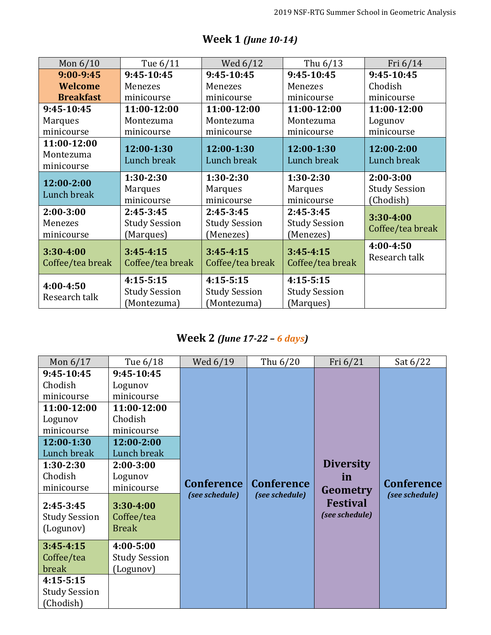| Mon $6/10$                             | Tue 6/11                                           | Wed 6/12                                           | Thu 6/13                                         | Fri 6/14                                         |
|----------------------------------------|----------------------------------------------------|----------------------------------------------------|--------------------------------------------------|--------------------------------------------------|
| $9:00 - 9:45$                          | 9:45-10:45                                         | 9:45-10:45                                         | $9:45-10:45$                                     | 9:45-10:45                                       |
| Welcome                                | Menezes                                            | Menezes                                            | Menezes                                          | Chodish                                          |
| <b>Breakfast</b>                       | minicourse                                         | minicourse                                         | minicourse                                       | minicourse                                       |
| 9:45-10:45                             | 11:00-12:00                                        | 11:00-12:00                                        | 11:00-12:00                                      | 11:00-12:00                                      |
| <b>Marques</b>                         | Montezuma                                          | Montezuma                                          | Montezuma                                        | Logunov                                          |
| minicourse                             | minicourse                                         | minicourse                                         | minicourse                                       | minicourse                                       |
| 11:00-12:00<br>Montezuma<br>minicourse | 12:00-1:30<br>Lunch break                          | 12:00-1:30<br>Lunch break                          | 12:00-1:30<br>Lunch break                        | 12:00-2:00<br>Lunch break                        |
| 12:00-2:00<br>Lunch break              | $1:30-2:30$<br><b>Marques</b><br>minicourse        | $1:30-2:30$<br><b>Marques</b><br>minicourse        | $1:30-2:30$<br><b>Marques</b><br>minicourse      | $2:00-3:00$<br><b>Study Session</b><br>(Chodish) |
| $2:00-3:00$<br>Menezes<br>minicourse   | $2:45-3:45$<br><b>Study Session</b><br>(Marques)   | $2:45-3:45$<br><b>Study Session</b><br>(Menezes)   | $2:45-3:45$<br><b>Study Session</b><br>(Menezes) | $3:30 - 4:00$<br>Coffee/tea break                |
| 3:30-4:00<br>Coffee/tea break          | $3:45 - 4:15$<br>Coffee/tea break                  | $3:45 - 4:15$<br>Coffee/tea break                  | $3:45 - 4:15$<br>Coffee/tea break                | 4:00-4:50<br>Research talk                       |
| 4:00-4:50<br>Research talk             | $4:15-5:15$<br><b>Study Session</b><br>(Montezuma) | $4:15-5:15$<br><b>Study Session</b><br>(Montezuma) | $4:15-5:15$<br><b>Study Session</b><br>(Marques) |                                                  |

## **Week 1** *(June 10-14)*

## **Week 2** *(June 17-22 – 6 days)*

| Mon $6/17$                                                                                                                                                                              | Tue 6/18                                                                                                                                                                        | Wed 6/19                            | Thu 6/20                            | Fri $6/21$                                                              | Sat $6/22$                          |
|-----------------------------------------------------------------------------------------------------------------------------------------------------------------------------------------|---------------------------------------------------------------------------------------------------------------------------------------------------------------------------------|-------------------------------------|-------------------------------------|-------------------------------------------------------------------------|-------------------------------------|
| 9:45-10:45<br>Chodish<br>minicourse<br>11:00-12:00<br>Logunov<br>minicourse<br>12:00-1:30<br>Lunch break<br>$1:30-2:30$<br>Chodish<br>minicourse<br>$2:45-3:45$<br><b>Study Session</b> | 9:45-10:45<br>Logunov<br>minicourse<br>11:00-12:00<br>Chodish<br>minicourse<br>12:00-2:00<br>Lunch break<br>$2:00-3:00$<br>Logunov<br>minicourse<br>$3:30 - 4:00$<br>Coffee/tea | <b>Conference</b><br>(see schedule) | <b>Conference</b><br>(see schedule) | <b>Diversity</b><br>in<br>Geometry<br><b>Festival</b><br>(see schedule) | <b>Conference</b><br>(see schedule) |
| (Logunov)<br>$3:45 - 4:15$<br>Coffee/tea                                                                                                                                                | <b>Break</b><br>4:00-5:00<br><b>Study Session</b>                                                                                                                               |                                     |                                     |                                                                         |                                     |
| break<br>$4:15-5:15$<br><b>Study Session</b>                                                                                                                                            | (Logunov)                                                                                                                                                                       |                                     |                                     |                                                                         |                                     |
| (Chodish)                                                                                                                                                                               |                                                                                                                                                                                 |                                     |                                     |                                                                         |                                     |